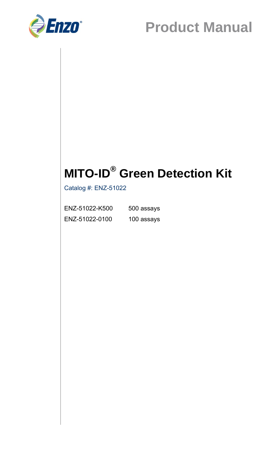

# **MITO-ID® Green Detection Kit**

Catalog #: ENZ-51022

| ENZ-51022-K500 | 500 assays |
|----------------|------------|
| ENZ-51022-0100 | 100 assays |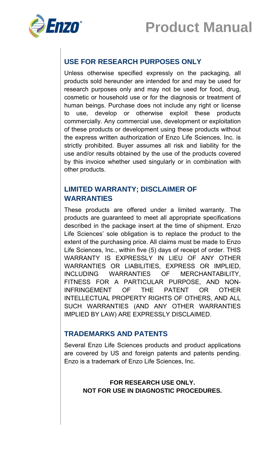

# **USE FOR RESEARCH PURPOSES ONLY**

Unless otherwise specified expressly on the packaging, all products sold hereunder are intended for and may be used for research purposes only and may not be used for food, drug, cosmetic or household use or for the diagnosis or treatment of human beings. Purchase does not include any right or license to use, develop or otherwise exploit these products commercially. Any commercial use, development or exploitation of these products or development using these products without the express written authorization of Enzo Life Sciences, Inc. is strictly prohibited. Buyer assumes all risk and liability for the use and/or results obtained by the use of the products covered by this invoice whether used singularly or in combination with other products.

### **LIMITED WARRANTY; DISCLAIMER OF WARRANTIES**

These products are offered under a limited warranty. The products are guaranteed to meet all appropriate specifications described in the package insert at the time of shipment. Enzo Life Sciences' sole obligation is to replace the product to the extent of the purchasing price. All claims must be made to Enzo Life Sciences, Inc., within five (5) days of receipt of order. THIS WARRANTY IS EXPRESSLY IN LIEU OF ANY OTHER WARRANTIES OR LIABILITIES, EXPRESS OR IMPLIED, INCLUDING WARRANTIES OF MERCHANTABILITY, FITNESS FOR A PARTICULAR PURPOSE, AND NON-INFRINGEMENT OF THE PATENT OR OTHER INTELLECTUAL PROPERTY RIGHTS OF OTHERS, AND ALL SUCH WARRANTIES (AND ANY OTHER WARRANTIES IMPLIED BY LAW) ARE EXPRESSLY DISCLAIMED.

#### **TRADEMARKS AND PATENTS**

Several Enzo Life Sciences products and product applications are covered by US and foreign patents and patents pending. Enzo is a trademark of Enzo Life Sciences, Inc.

#### **FOR RESEARCH USE ONLY. NOT FOR USE IN DIAGNOSTIC PROCEDURES.**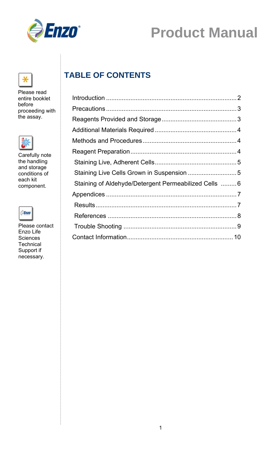



Please read entire booklet before proceeding with the assay.



Carefully note the handling and storage conditions of each kit component.



Please contact Enzo Life **Sciences Technical** Support if necessary.

# **TABLE OF CONTENTS**

| Staining Live Cells Grown in Suspension  5            |  |
|-------------------------------------------------------|--|
| Staining of Aldehyde/Detergent Permeabilized Cells  6 |  |
|                                                       |  |
|                                                       |  |
|                                                       |  |
|                                                       |  |
|                                                       |  |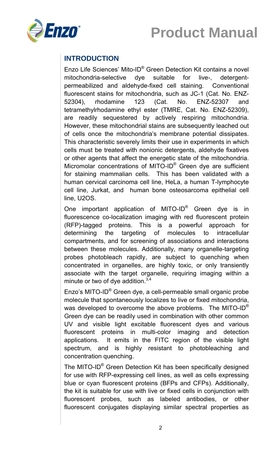



# **INTRODUCTION**

Enzo Life Sciences' Mito-ID® Green Detection Kit contains a novel mitochondria-selective dye suitable for live-, detergentpermeabilized and aldehyde-fixed cell staining. Conventional fluorescent stains for mitochondria, such as JC-1 (Cat. No. ENZ-52304), rhodamine 123 (Cat. No. ENZ-52307 and tetramethylrhodamine ethyl ester (TMRE, Cat. No. ENZ-52309), are readily sequestered by actively respiring mitochondria. However, these mitochondrial stains are subsequently leached out of cells once the mitochondria's membrane potential dissipates. This characteristic severely limits their use in experiments in which cells must be treated with nonionic detergents, aldehyde fixatives or other agents that affect the energetic state of the mitochondria. Micromolar concentrations of MITO-ID® Green dye are sufficient for staining mammalian cells. This has been validated with a human cervical carcinoma cell line, HeLa, a human T-lymphocyte cell line, Jurkat, and human bone osteosarcoma epithelial cell line, U2OS.

One important application of MITO-ID® Green dye is in fluorescence co-localization imaging with red fluorescent protein (RFP)-tagged proteins. This is a powerful approach for determining the targeting of molecules to intracellular compartments, and for screening of associations and interactions between these molecules. Additionally, many organelle-targeting probes photobleach rapidly, are subject to quenching when concentrated in organelles, are highly toxic, or only transiently associate with the target organelle, requiring imaging within a minute or two of dye addition. $3,4$ 

Enzo's MITO-ID® Green dye, a cell-permeable small organic probe molecule that spontaneously localizes to live or fixed mitochondria, was developed to overcome the above problems. The MITO-ID<sup>®</sup> Green dye can be readily used in combination with other common UV and visible light excitable fluorescent dyes and various fluorescent proteins in multi-color imaging and detection applications. It emits in the FITC region of the visible light spectrum, and is highly resistant to photobleaching and concentration quenching.

The MITO-ID® Green Detection Kit has been specifically designed for use with RFP-expressing cell lines, as well as cells expressing blue or cyan fluorescent proteins (BFPs and CFPs). Additionally, the kit is suitable for use with live or fixed cells in conjunction with fluorescent probes, such as labeled antibodies, or other fluorescent conjugates displaying similar spectral properties as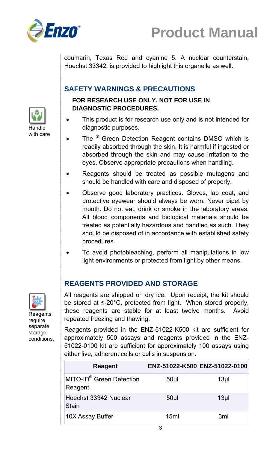



coumarin, Texas Red and cyanine 5. A nuclear counterstain, Hoechst 33342, is provided to highlight this organelle as well.

### **SAFETY WARNINGS & PRECAUTIONS**

#### **FOR RESEARCH USE ONLY. NOT FOR USE IN DIAGNOSTIC PROCEDURES.**

- This product is for research use only and is not intended for diagnostic purposes.
- The ® Green Detection Reagent contains DMSO which is readily absorbed through the skin. It is harmful if ingested or absorbed through the skin and may cause irritation to the eyes. Observe appropriate precautions when handling.
- Reagents should be treated as possible mutagens and should be handled with care and disposed of properly.
- Observe good laboratory practices. Gloves, lab coat, and protective eyewear should always be worn. Never pipet by mouth. Do not eat, drink or smoke in the laboratory areas. All blood components and biological materials should be treated as potentially hazardous and handled as such. They should be disposed of in accordance with established safety procedures.
- To avoid photobleaching, perform all manipulations in low light environments or protected from light by other means.

### **REAGENTS PROVIDED AND STORAGE**

All reagents are shipped on dry ice. Upon receipt, the kit should be stored at ≤-20°C, protected from light. When stored properly, these reagents are stable for at least twelve months. Avoid repeated freezing and thawing.

Reagents provided in the ENZ-51022-K500 kit are sufficient for approximately 500 assays and reagents provided in the ENZ-51022-0100 kit are sufficient for approximately 100 assays using either live, adherent cells or cells in suspension.

| <b>Reagent</b>                                  | ENZ-51022-K500 ENZ-51022-0100 |                 |
|-------------------------------------------------|-------------------------------|-----------------|
| MITO-ID <sup>®</sup> Green Detection<br>Reagent | 50 <sub>µ</sub>               | 13 <sub>µ</sub> |
| Hoechst 33342 Nuclear<br>Stain                  | 50 <sub>µ</sub>               | 13 <sub>µ</sub> |
| 10X Assay Buffer                                | 15ml                          | 3 <sub>ml</sub> |



Handle with care

Reagents require separate storage conditions.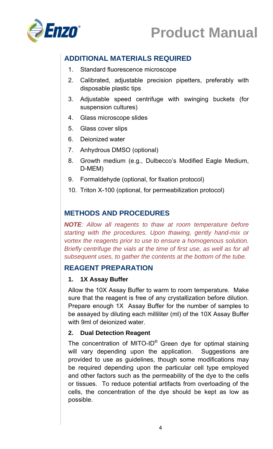

# **ADDITIONAL MATERIALS REQUIRED**

- 1. Standard fluorescence microscope
- 2. Calibrated, adjustable precision pipetters, preferably with disposable plastic tips
- 3. Adjustable speed centrifuge with swinging buckets (for suspension cultures)
- 4. Glass microscope slides
- 5. Glass cover slips
- 6. Deionized water
- 7. Anhydrous DMSO (optional)
- 8. Growth medium (e.g., Dulbecco's Modified Eagle Medium, D-MEM)
- 9. Formaldehyde (optional, for fixation protocol)
- 10. Triton X-100 (optional, for permeabilization protocol)

### **METHODS AND PROCEDURES**

*NOTE: Allow all reagents to thaw at room temperature before starting with the procedures. Upon thawing, gently hand-mix or vortex the reagents prior to use to ensure a homogenous solution. Briefly centrifuge the vials at the time of first use, as well as for all subsequent uses, to gather the contents at the bottom of the tube.* 

#### **REAGENT PREPARATION**

#### **1. 1X Assay Buffer**

Allow the 10X Assay Buffer to warm to room temperature. Make sure that the reagent is free of any crystallization before dilution. Prepare enough 1X Assay Buffer for the number of samples to be assayed by diluting each milliliter (ml) of the 10X Assay Buffer with 9ml of deionized water.

#### **2. Dual Detection Reagent**

The concentration of MITO-ID® Green dye for optimal staining will vary depending upon the application. Suggestions are provided to use as guidelines, though some modifications may be required depending upon the particular cell type employed and other factors such as the permeability of the dye to the cells or tissues. To reduce potential artifacts from overloading of the cells, the concentration of the dye should be kept as low as possible.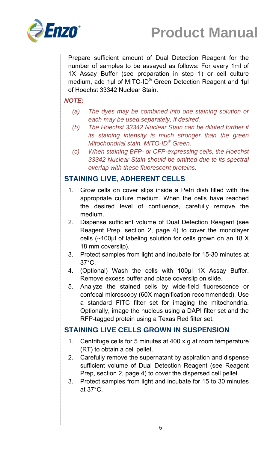

Prepare sufficient amount of Dual Detection Reagent for the number of samples to be assayed as follows: For every 1ml of 1X Assay Buffer (see preparation in step 1) or cell culture medium, add 1 $\mu$ l of MITO-ID<sup>®</sup> Green Detection Reagent and 1 $\mu$ l of Hoechst 33342 Nuclear Stain.

#### *NOTE:*

- *(a) The dyes may be combined into one staining solution or each may be used separately, if desired.*
- *(b) The Hoechst 33342 Nuclear Stain can be diluted further if its staining intensity is much stronger than the green Mitochondrial stain, MITO-ID® Green.*
- *(c) When staining BFP- or CFP-expressing cells, the Hoechst 33342 Nuclear Stain should be omitted due to its spectral overlap with these fluorescent proteins.*

#### **STAINING LIVE, ADHERENT CELLS**

- 1. Grow cells on cover slips inside a Petri dish filled with the appropriate culture medium. When the cells have reached the desired level of confluence, carefully remove the medium.
- 2. Dispense sufficient volume of Dual Detection Reagent (see Reagent Prep, section 2, page 4) to cover the monolayer cells (~100µl of labeling solution for cells grown on an 18 X 18 mm coverslip).
- 3. Protect samples from light and incubate for 15-30 minutes at 37°C.
- 4. (Optional) Wash the cells with 100µl 1X Assay Buffer. Remove excess buffer and place coverslip on slide.
- 5. Analyze the stained cells by wide-field fluorescence or confocal microscopy (60X magnification recommended). Use a standard FITC filter set for imaging the mitochondria. Optionally, image the nucleus using a DAPI filter set and the RFP-tagged protein using a Texas Red filter set.

#### **STAINING LIVE CELLS GROWN IN SUSPENSION**

- 1. Centrifuge cells for 5 minutes at 400 x g at room temperature (RT) to obtain a cell pellet.
- 2. Carefully remove the supernatant by aspiration and dispense sufficient volume of Dual Detection Reagent (see Reagent Prep, section 2, page 4) to cover the dispersed cell pellet.
- 3. Protect samples from light and incubate for 15 to 30 minutes at 37°C.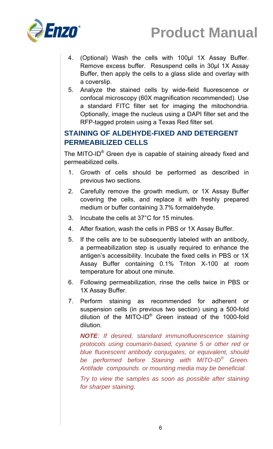

- 4. (Optional) Wash the cells with 100µl 1X Assay Buffer. Remove excess buffer. Resuspend cells in 30µl 1X Assay Buffer, then apply the cells to a glass slide and overlay with a coverslip.
- 5. Analyze the stained cells by wide-field fluorescence or confocal microscopy (60X magnification recommended). Use a standard FITC filter set for imaging the mitochondria. Optionally, image the nucleus using a DAPI filter set and the RFP-tagged protein using a Texas Red filter set.

### **STAINING OF ALDEHYDE-FIXED AND DETERGENT PERMEABILIZED CELLS**

The MITO-ID® Green dye is capable of staining already fixed and permeabilized cells.

- 1. Growth of cells should be performed as described in previous two sections.
- 2. Carefully remove the growth medium, or 1X Assay Buffer covering the cells, and replace it with freshly prepared medium or buffer containing 3.7% formaldehyde.
- 3. Incubate the cells at 37°C for 15 minutes.
- 4. After fixation, wash the cells in PBS or 1X Assay Buffer.
- 5. If the cells are to be subsequently labeled with an antibody, a permeabilization step is usually required to enhance the antigen's accessibility. Incubate the fixed cells in PBS or 1X Assay Buffer containing 0.1% Triton X-100 at room temperature for about one minute.
- 6. Following permeabilization, rinse the cells twice in PBS or 1X Assay Buffer.
- 7. Perform staining as recommended for adherent or suspension cells (in previous two section) using a 500-fold dilution of the MITO-ID® Green instead of the 1000-fold dilution.

*NOTE: If desired, standard immunofluorescence staining protocols using coumarin-based, cyanine 5 or other red or blue fluorescent antibody conjugates, or equivalent, should be performed before Staining with MITO-ID® Green. Antifade compounds or mounting media may be beneficial.* 

*Try to view the samples as soon as possible after staining for sharper staining.*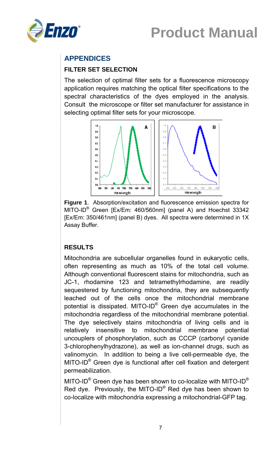



# **APPENDICES**

#### **FILTER SET SELECTION**

The selection of optimal filter sets for a fluorescence microscopy application requires matching the optical filter specifications to the spectral characteristics of the dyes employed in the analysis. Consult the microscope or filter set manufacturer for assistance in selecting optimal filter sets for your microscope.



**Figure 1**. Absorption/excitation and fluorescence emission spectra for MITO-ID<sup>®</sup> Green [Ex/Em: 460/560nm] (panel A) and Hoechst 33342 [Ex/Em: 350/461nm] (panel B) dyes. All spectra were determined in 1X Assay Buffer.

#### **RESULTS**

Mitochondria are subcellular organelles found in eukaryotic cells, often representing as much as 10% of the total cell volume. Although conventional fluorescent stains for mitochondria, such as JC-1, rhodamine 123 and tetramethylrhodamine, are readily sequestered by functioning mitochondria, they are subsequently leached out of the cells once the mitochondrial membrane potential is dissipated. MITO-ID® Green dye accumulates in the mitochondria regardless of the mitochondrial membrane potential. The dye selectively stains mitochondria of living cells and is relatively insensitive to mitochondrial membrane potential uncouplers of phosphorylation, such as CCCP (carbonyl cyanide 3-chlorophenylhydrazone), as well as ion-channel drugs, such as valinomycin. In addition to being a live cell-permeable dye, the MITO-ID® Green dye is functional after cell fixation and detergent permeabilization.

MITO-ID<sup>®</sup> Green dye has been shown to co-localize with MITO-ID<sup>®</sup> Red dye. Previously, the MITO-ID® Red dye has been shown to co-localize with mitochondria expressing a mitochondrial-GFP tag.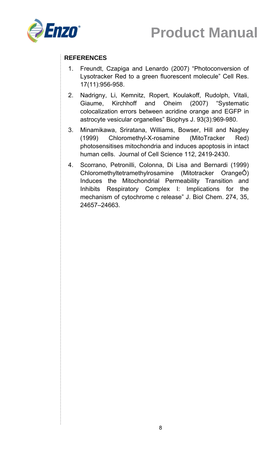

#### **REFERENCES**

- 1. Freundt, Czapiga and Lenardo (2007) "Photoconversion of Lysotracker Red to a green fluorescent molecule" Cell Res. 17(11):956-958.
- 2. Nadrigny, Li, Kemnitz, Ropert, Koulakoff, Rudolph, Vitali, Giaume, Kirchhoff and Oheim (2007) "Systematic colocalization errors between acridine orange and EGFP in astrocyte vesicular organelles" Biophys J. 93(3):969-980.
- 3. Minamikawa, Sriratana, Williams, Bowser, Hill and Nagley (1999) Chloromethyl-X-rosamine (MitoTracker Red) photosensitises mitochondria and induces apoptosis in intact human cells. Journal of Cell Science 112, 2419-2430.
- 4. Scorrano, Petronilli, Colonna, Di Lisa and Bernardi (1999) Chloromethyltetramethylrosamine (Mitotracker OrangeÔ) Induces the Mitochondrial Permeability Transition and Inhibits Respiratory Complex I: Implications for the mechanism of cytochrome c release" J. Biol Chem. 274, 35, 24657–24663.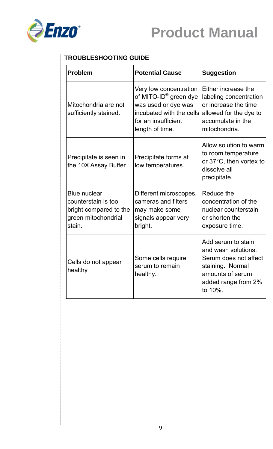



#### **TROUBLESHOOTING GUIDE**

| <b>Problem</b>                                                                                        | <b>Potential Cause</b>                                                                                                                                   | <b>Suggestion</b>                                                                                                                            |
|-------------------------------------------------------------------------------------------------------|----------------------------------------------------------------------------------------------------------------------------------------------------------|----------------------------------------------------------------------------------------------------------------------------------------------|
| Mitochondria are not<br>sufficiently stained.                                                         | Very low concentration<br>of MITO-ID <sup>®</sup> green dye<br>was used or dye was<br>incubated with the cells<br>for an insufficient<br>length of time. | Either increase the<br>labeling concentration<br>or increase the time<br>allowed for the dye to<br>accumulate in the<br>mitochondria.        |
| Precipitate is seen in<br>the 10X Assay Buffer.                                                       | Precipitate forms at<br>low temperatures.                                                                                                                | Allow solution to warm<br>to room temperature<br>or 37°C, then vortex to<br>dissolve all<br>precipitate.                                     |
| <b>Blue nuclear</b><br>counterstain is too<br>bright compared to the<br>green mitochondrial<br>stain. | Different microscopes,<br>cameras and filters<br>may make some<br>signals appear very<br>bright.                                                         | Reduce the<br>concentration of the<br>nuclear counterstain<br>or shorten the<br>exposure time.                                               |
| Cells do not appear<br>healthy                                                                        | Some cells require<br>serum to remain<br>healthy.                                                                                                        | Add serum to stain<br>and wash solutions.<br>Serum does not affect<br>staining. Normal<br>amounts of serum<br>added range from 2%<br>to 10%. |